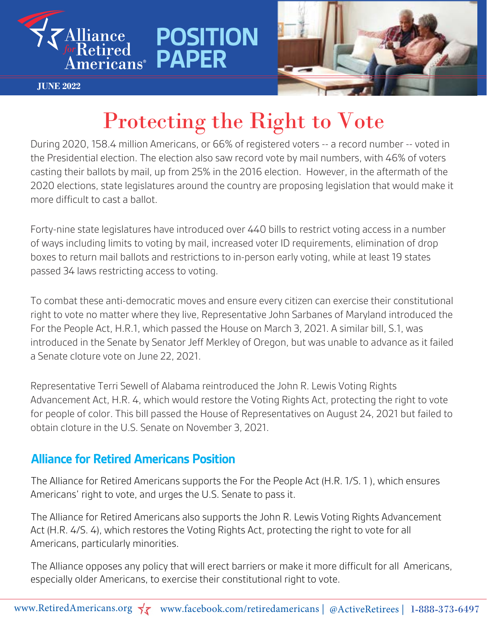

**JUNE 2022**



# Protecting the Right to Vote

**POSITION** 

**PAPER**

During 2020, 158.4 million Americans, or 66% of registered voters -- a record number -- voted in the Presidential election. The election also saw record vote by mail numbers, with 46% of voters casting their ballots by mail, up from 25% in the 2016 election. However, in the aftermath of the 2020 elections, state legislatures around the country are proposing legislation that would make it more difficult to cast a ballot.

Forty-nine state legislatures have introduced over 440 bills to restrict voting access in a number of ways including limits to voting by mail, increased voter ID requirements, elimination of drop boxes to return mail ballots and restrictions to in-person early voting, while at least 19 states passed 34 laws restricting access to voting.

To combat these anti-democratic moves and ensure every citizen can exercise their constitutional right to vote no matter where they live, Representative John Sarbanes of Maryland introduced the For the People Act, H.R.1, which passed the House on March 3, 2021. A similar bill, S.1, was introduced in the Senate by Senator Jeff Merkley of Oregon, but was unable to advance as it failed a Senate cloture vote on June 22, 2021.

Representative Terri Sewell of Alabama reintroduced the John R. Lewis Voting Rights Advancement Act, H.R. 4, which would restore the Voting Rights Act, protecting the right to vote for people of color. This bill passed the House of Representatives on August 24, 2021 but failed to obtain cloture in the U.S. Senate on November 3, 2021.

### **Alliance for Retired Americans Position**

The Alliance for Retired Americans supports the For the People Act (H.R. 1/S. 1 ), which ensures Americans' right to vote, and urges the U.S. Senate to pass it.

The Alliance for Retired Americans also supports the John R. Lewis Voting Rights Advancement Act (H.R. 4/S. 4), which restores the Voting Rights Act, protecting the right to vote for all Americans, particularly minorities.

The Alliance opposes any policy that will erect barriers or make it more difficult for all Americans, especially older Americans, to exercise their constitutional right to vote.